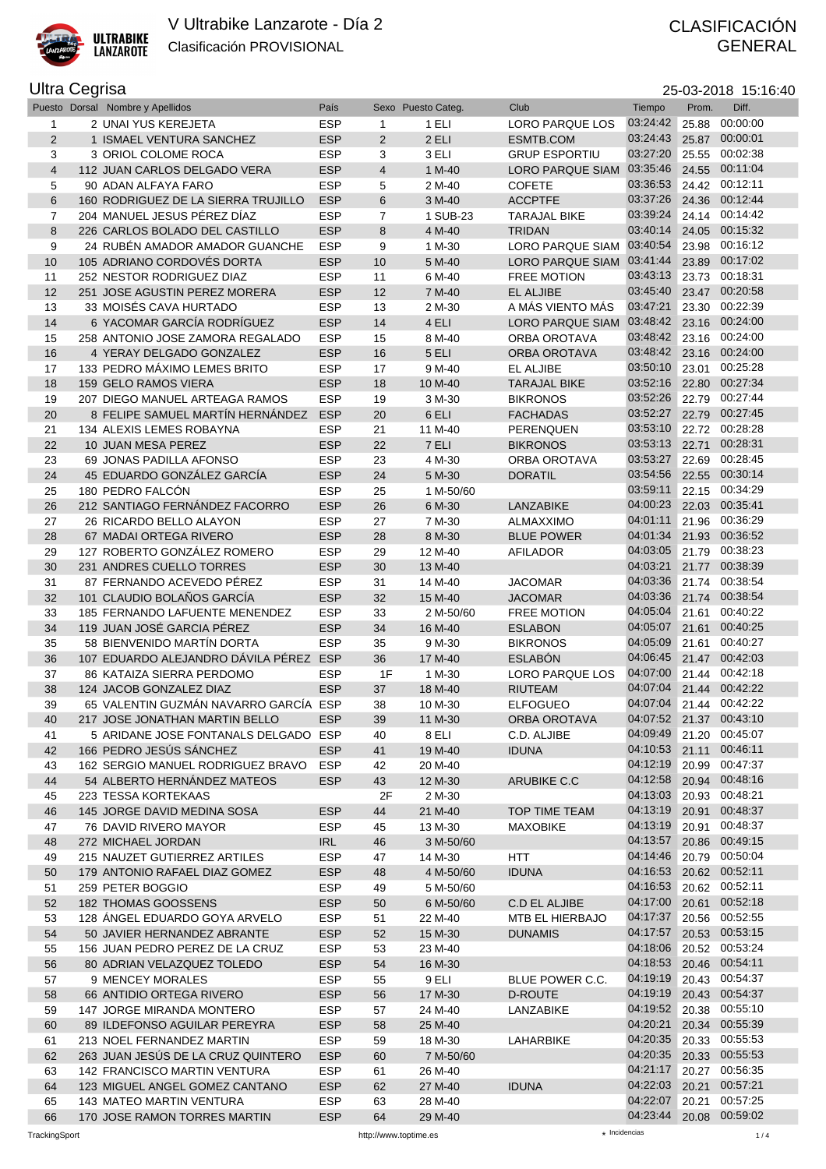

## GENERAL

## Ultra Cegrisa

| ra Cegrisaː<br>25-03-2018 15:16:40 |  |                                |            |                  |                    |                                          |                         |       |       |  |
|------------------------------------|--|--------------------------------|------------|------------------|--------------------|------------------------------------------|-------------------------|-------|-------|--|
|                                    |  | esto Dorsal Nombre y Apellidos | País       |                  | Sexo Puesto Categ. | Club                                     | Tiempo                  | Prom. | Diff. |  |
|                                    |  | 2 UNAI YUS KEREJETA            | <b>ESP</b> |                  | 1 ELI              | LORO PARQUE LOS                          | 03:24:42 25.88 00:00:00 |       |       |  |
| 2                                  |  | <b>ISMAEL VENTURA SANCHEZ</b>  | <b>ESP</b> |                  | 2 ELI              | ESMTB.COM                                | 03:24:43 25.87 00:00:01 |       |       |  |
| 3                                  |  | 3 ORIOL COLOME ROCA            | <b>ESP</b> |                  | 3 ELI              | <b>GRUP ESPORTIU</b>                     | 03:27:20 25.55 00:02:38 |       |       |  |
| $\overline{4}$                     |  | 112 JUAN CARLOS DELGADO VERA   | <b>ESP</b> | $\boldsymbol{4}$ | $1 M-40$           | LORO PARQUE SIAM 03:35:46 24.55 00:11:04 |                         |       |       |  |

| 3              | 1 ISMAEL VENTURA SANCHEZ                                 | <b>ESP</b>               | 2              | 2 ELI              | ESMTB.COM               | 03:24:43                            |       | 25.87 00:00:01 |
|----------------|----------------------------------------------------------|--------------------------|----------------|--------------------|-------------------------|-------------------------------------|-------|----------------|
|                | 3 ORIOL COLOME ROCA                                      | <b>ESP</b>               | 3              | 3 ELI              | <b>GRUP ESPORTIU</b>    | 03:27:20                            | 25.55 | 00:02:38       |
| $\overline{4}$ | 112 JUAN CARLOS DELGADO VERA                             | <b>ESP</b>               | 4              | 1 M-40             | <b>LORO PARQUE SIAM</b> | 03:35:46                            | 24.55 | 00:11:04       |
| 5              | 90 ADAN ALFAYA FARO                                      | <b>ESP</b>               | 5              | 2 M-40             | <b>COFETE</b>           | 03:36:53                            |       | 24.42 00:12:11 |
| 6              | 160 RODRIGUEZ DE LA SIERRA TRUJILLO                      | <b>ESP</b>               | 6              | 3 M-40             | <b>ACCPTFE</b>          | 03:37:26                            | 24.36 | 00:12:44       |
| 7              | 204 MANUEL JESUS PÉREZ DÍAZ                              | <b>ESP</b>               | $\overline{7}$ | 1 SUB-23           | <b>TARAJAL BIKE</b>     | 03:39:24                            |       | 24.14 00:14:42 |
|                |                                                          |                          |                |                    | <b>TRIDAN</b>           | 03:40:14                            | 24.05 | 00:15:32       |
| 8              | 226 CARLOS BOLADO DEL CASTILLO                           | <b>ESP</b>               | 8              | 4 M-40             |                         |                                     |       |                |
| 9              | 24 RUBEN AMADOR AMADOR GUANCHE                           | <b>ESP</b>               | 9              | 1 M-30             | LORO PARQUE SIAM        | 03:40:54                            | 23.98 | 00:16:12       |
| 10             | 105 ADRIANO CORDOVÉS DORTA                               | <b>ESP</b>               | 10             | 5 M-40             | <b>LORO PARQUE SIAM</b> | 03:41:44                            | 23.89 | 00:17:02       |
| 11             | 252 NESTOR RODRIGUEZ DIAZ                                | <b>ESP</b>               | 11             | 6 M-40             | <b>FREE MOTION</b>      | 03:43:13                            |       | 23.73 00:18:31 |
| 12             | 251 JOSE AGUSTIN PEREZ MORERA                            | <b>ESP</b>               | 12             | 7 M-40             | <b>EL ALJIBE</b>        | 03:45:40                            |       | 23.47 00:20:58 |
| 13             | 33 MOISÉS CAVA HURTADO                                   | <b>ESP</b>               | 13             | 2 M-30             | A MÁS VIENTO MÁS        | 03:47:21                            | 23.30 | 00:22:39       |
| 14             | 6 YACOMAR GARCÍA RODRÍGUEZ                               | <b>ESP</b>               | 14             | 4 ELI              | <b>LORO PARQUE SIAM</b> | 03:48:42                            | 23.16 | 00:24:00       |
| 15             | 258 ANTONIO JOSE ZAMORA REGALADO                         | <b>ESP</b>               | 15             | 8 M-40             | ORBA OROTAVA            | 03:48:42                            | 23.16 | 00:24:00       |
| 16             | 4 YERAY DELGADO GONZALEZ                                 | <b>ESP</b>               | 16             | 5 ELI              | <b>ORBA OROTAVA</b>     | 03:48:42                            | 23.16 | 00:24:00       |
| 17             | 133 PEDRO MÁXIMO LEMES BRITO                             | <b>ESP</b>               | 17             | 9 M-40             | EL ALJIBE               | 03:50:10                            | 23.01 | 00:25:28       |
| 18             | 159 GELO RAMOS VIERA                                     | <b>ESP</b>               | 18             | 10 M-40            | <b>TARAJAL BIKE</b>     | 03:52:16                            |       | 22.80 00:27:34 |
| 19             | 207 DIEGO MANUEL ARTEAGA RAMOS                           | <b>ESP</b>               | 19             | 3 M-30             | <b>BIKRONOS</b>         | 03:52:26                            | 22.79 | 00:27:44       |
| 20             | 8 FELIPE SAMUEL MARTÍN HERNÁNDEZ                         | <b>ESP</b>               | 20             | 6 ELI              | <b>FACHADAS</b>         | 03:52:27                            | 22.79 | 00:27:45       |
|                |                                                          | <b>ESP</b>               |                |                    |                         | 03:53:10                            |       | 22.72 00:28:28 |
| 21             | 134 ALEXIS LEMES ROBAYNA                                 |                          | 21             | 11 M-40            | PERENQUEN               |                                     |       |                |
| 22             | 10 JUAN MESA PEREZ                                       | <b>ESP</b>               | 22             | 7 ELI              | <b>BIKRONOS</b>         | 03:53:13                            | 22.71 | 00:28:31       |
| 23             | 69 JONAS PADILLA AFONSO                                  | <b>ESP</b>               | 23             | 4 M-30             | ORBA OROTAVA            | 03:53:27                            | 22.69 | 00:28:45       |
| 24             | 45 EDUARDO GONZÁLEZ GARCÍA                               | <b>ESP</b>               | 24             | 5 M-30             | <b>DORATIL</b>          | 03:54:56                            |       | 22.55 00:30:14 |
| 25             | 180 PEDRO FALCÓN                                         | <b>ESP</b>               | 25             | 1 M-50/60          |                         | 03:59:11                            |       | 22.15 00:34:29 |
| 26             | 212 SANTIAGO FERNÁNDEZ FACORRO                           | <b>ESP</b>               | 26             | 6 M-30             | <b>LANZABIKE</b>        | 04:00:23                            | 22.03 | 00:35:41       |
| 27             | 26 RICARDO BELLO ALAYON                                  | <b>ESP</b>               | 27             | 7 M-30             | <b>ALMAXXIMO</b>        | 04:01:11                            | 21.96 | 00:36:29       |
| 28             | 67 MADAI ORTEGA RIVERO                                   | <b>ESP</b>               | 28             | 8 M-30             | <b>BLUE POWER</b>       | 04:01:34                            | 21.93 | 00:36:52       |
| 29             | 127 ROBERTO GONZÁLEZ ROMERO                              | <b>ESP</b>               | 29             | 12 M-40            | <b>AFILADOR</b>         | 04:03:05                            | 21.79 | 00:38:23       |
| 30             | 231 ANDRES CUELLO TORRES                                 | <b>ESP</b>               | 30             | 13 M-40            |                         | 04:03:21                            |       | 21.77 00:38:39 |
| 31             | 87 FERNANDO ACEVEDO PÉREZ                                | <b>ESP</b>               | 31             | 14 M-40            | <b>JACOMAR</b>          | 04:03:36                            |       | 21.74 00:38:54 |
| 32             | 101 CLAUDIO BOLAÑOS GARCÍA                               | <b>ESP</b>               | 32             | 15 M-40            | <b>JACOMAR</b>          | 04:03:36                            | 21.74 | 00:38:54       |
|                |                                                          | <b>ESP</b>               |                |                    | <b>FREE MOTION</b>      | 04:05:04                            | 21.61 | 00:40:22       |
| 33             | 185 FERNANDO LAFUENTE MENENDEZ                           |                          | 33             | 2 M-50/60          |                         | 04:05:07                            |       |                |
| 34             | 119 JUAN JOSÉ GARCIA PÉREZ                               | <b>ESP</b>               | 34             | 16 M-40            | <b>ESLABON</b>          |                                     | 21.61 | 00:40:25       |
| 35             | 58 BIENVENIDO MARTÍN DORTA                               | <b>ESP</b>               | 35             | 9 M-30             | <b>BIKRONOS</b>         | 04:05:09                            | 21.61 | 00:40:27       |
| 36             | 107 EDUARDO ALEJANDRO DÁVILA PÉREZ ESP                   |                          | 36             | 17 M-40            | <b>ESLABÓN</b>          | 04:06:45                            |       | 21.47 00:42:03 |
| 37             | 86 KATAIZA SIERRA PERDOMO                                | <b>ESP</b>               | 1F             | 1 M-30             | <b>LORO PARQUE LOS</b>  | 04:07:00                            |       | 21.44 00:42:18 |
| 38             | 124 JACOB GONZALEZ DIAZ                                  | <b>ESP</b>               | 37             | 18 M-40            | <b>RIUTEAM</b>          | 04:07:04                            | 21.44 | 00:42:22       |
| 39             | 65 VALENTIN GUZMÁN NAVARRO GARCÍA ESP                    |                          | 38             | 10 M-30            | <b>ELFOGUEO</b>         | 04:07:04                            |       | 21.44 00:42:22 |
|                | 217 JOSE JONATHAN MARTIN BELLO                           | <b>ESP</b>               | 39             | 11 M-30            | <b>ORBA OROTAVA</b>     | 04:07:52                            |       | 21.37 00:43:10 |
| 40             |                                                          |                          | 40             | 8 ELI              |                         |                                     |       |                |
| 41             | 5 ARIDANE JOSE FONTANALS DELGADO ESP                     |                          |                |                    | C.D. ALJIBE             | 04:09:49                            | 21.20 | 00:45:07       |
| 42             | 166 PEDRO JESÚS SÁNCHEZ                                  | <b>ESP</b>               | 41             | 19 M-40            | <b>IDUNA</b>            |                                     |       | 00:46:11       |
|                |                                                          |                          |                |                    |                         | 04:10:53 21.11                      |       |                |
| 43             | 162 SERGIO MANUEL RODRIGUEZ BRAVO                        | <b>ESP</b>               | 42             | 20 M-40            |                         | 04:12:19 20.99 00:47:37             |       |                |
| 44             | 54 ALBERTO HERNÁNDEZ MATEOS                              | <b>ESP</b>               | 43             | 12 M-30            | ARUBIKE C.C             | 04:12:58 20.94                      |       | 00:48:16       |
| 45             | 223 TESSA KORTEKAAS                                      |                          | 2F             | 2 M-30             |                         | 04:13:03 20.93                      |       | 00:48:21       |
| 46             | 145 JORGE DAVID MEDINA SOSA                              | <b>ESP</b>               | 44             | 21 M-40            | <b>TOP TIME TEAM</b>    | 04:13:19                            | 20.91 | 00:48:37       |
| 47             | 76 DAVID RIVERO MAYOR                                    | <b>ESP</b>               | 45             | 13 M-30            | <b>MAXOBIKE</b>         | 04:13:19                            | 20.91 | 00:48:37       |
| 48             | 272 MICHAEL JORDAN                                       | <b>IRL</b>               | 46             | 3 M-50/60          |                         | 04:13:57 20.86 00:49:15             |       |                |
| 49             | 215 NAUZET GUTIERREZ ARTILES                             | <b>ESP</b>               | 47             | 14 M-30            | <b>HTT</b>              | 04:14:46                            |       | 20.79 00:50:04 |
| 50             | 179 ANTONIO RAFAEL DIAZ GOMEZ                            | <b>ESP</b>               | 48             | 4 M-50/60          | <b>IDUNA</b>            | 04:16:53 20.62 00:52:11             |       |                |
| 51             | 259 PETER BOGGIO                                         | <b>ESP</b>               | 49             | 5 M-50/60          |                         | 04:16:53 20.62 00:52:11             |       |                |
| 52             | 182 THOMAS GOOSSENS                                      | <b>ESP</b>               | 50             | 6 M-50/60          | C.D EL ALJIBE           | 04:17:00                            |       | 20.61 00:52:18 |
| 53             | 128 ÁNGEL EDUARDO GOYA ARVELO                            | <b>ESP</b>               | 51             | 22 M-40            | MTB EL HIERBAJO         | 04:17:37                            |       | 20.56 00:52:55 |
| 54             | 50 JAVIER HERNANDEZ ABRANTE                              | <b>ESP</b>               | 52             | 15 M-30            | <b>DUNAMIS</b>          | 04:17:57 20.53 00:53:15             |       |                |
| 55             | 156 JUAN PEDRO PEREZ DE LA CRUZ                          |                          | 53             | 23 M-40            |                         | 04:18:06                            |       | 20.52 00:53:24 |
|                |                                                          | <b>ESP</b>               |                |                    |                         |                                     |       |                |
| 56             | 80 ADRIAN VELAZQUEZ TOLEDO                               | <b>ESP</b>               | 54             | 16 M-30            |                         | 04:18:53 20.46 00:54:11             |       |                |
| 57             | 9 MENCEY MORALES                                         | <b>ESP</b>               | 55             | 9 ELI              | BLUE POWER C.C.         | 04:19:19 20.43 00:54:37             |       |                |
| 58             | 66 ANTIDIO ORTEGA RIVERO                                 | <b>ESP</b>               | 56             | 17 M-30            | D-ROUTE                 | 04:19:19                            |       | 20.43 00:54:37 |
| 59             | 147 JORGE MIRANDA MONTERO                                | <b>ESP</b>               | 57             | 24 M-40            | LANZABIKE               | 04:19:52 20.38 00:55:10             |       |                |
| 60             | 89 ILDEFONSO AGUILAR PEREYRA                             | <b>ESP</b>               | 58             | 25 M-40            |                         | 04:20:21                            |       | 20.34 00:55:39 |
| 61             | 213 NOEL FERNANDEZ MARTIN                                | <b>ESP</b>               | 59             | 18 M-30            | LAHARBIKE               | 04:20:35 20.33 00:55:53             |       |                |
| 62             | 263 JUAN JESÚS DE LA CRUZ QUINTERO                       | <b>ESP</b>               | 60             | 7 M-50/60          |                         | 04:20:35 20.33 00:55:53             |       |                |
| 63             | 142 FRANCISCO MARTIN VENTURA                             | <b>ESP</b>               | 61             | 26 M-40            |                         | 04:21:17                            |       | 20.27 00:56:35 |
| 64             | 123 MIGUEL ANGEL GOMEZ CANTANO                           | <b>ESP</b>               | 62             | 27 M-40            | <b>IDUNA</b>            | 04:22:03                            | 20.21 | 00:57:21       |
| 65             | 143 MATEO MARTIN VENTURA<br>170 JOSE RAMON TORRES MARTIN | <b>ESP</b><br><b>ESP</b> | 63<br>64       | 28 M-40<br>29 M-40 |                         | 04:22:07<br>04:23:44 20.08 00:59:02 | 20.21 | 00:57:25       |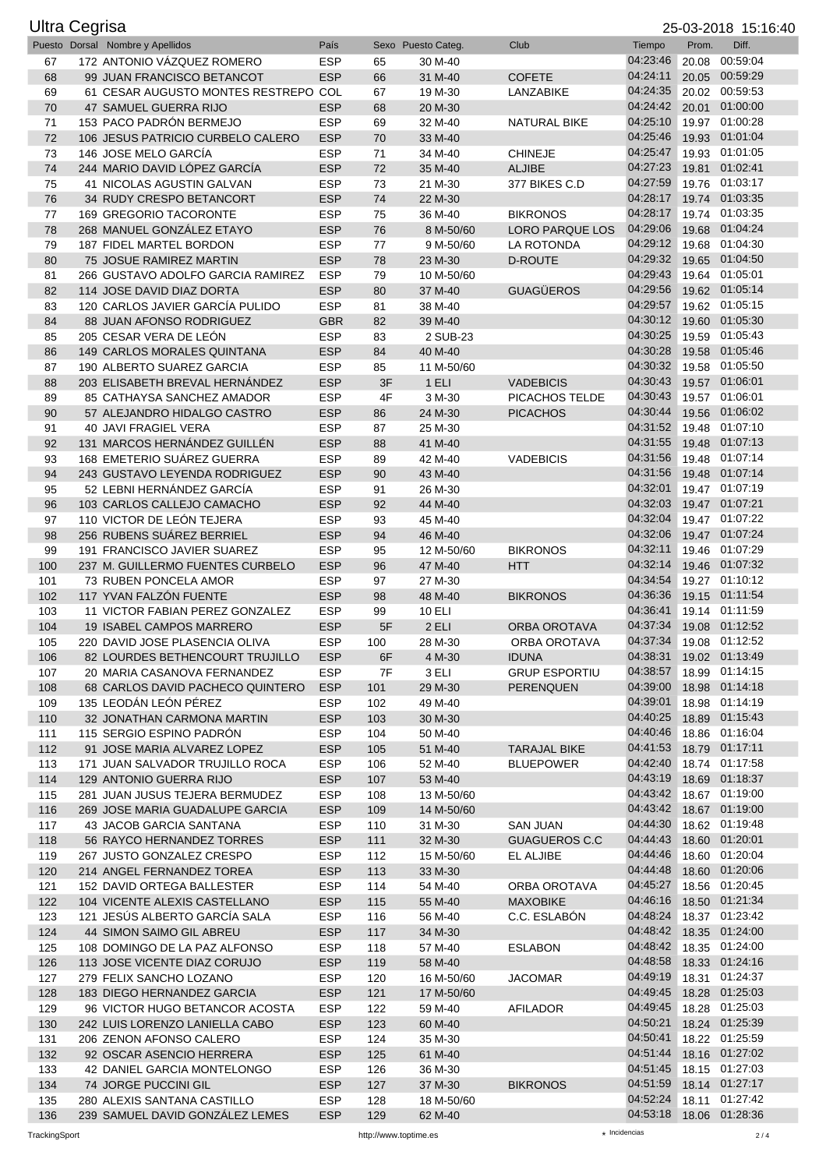| <b>Ultra Cegrisa</b><br>25-03-2018 15:16:40 |  |                                                                   |                          |            |                          |                                          |                                     |       |                                  |
|---------------------------------------------|--|-------------------------------------------------------------------|--------------------------|------------|--------------------------|------------------------------------------|-------------------------------------|-------|----------------------------------|
|                                             |  | Puesto Dorsal Nombre y Apellidos                                  | País                     |            | Sexo Puesto Categ.       | Club                                     | Tiempo                              | Prom. | Diff.                            |
| 67                                          |  | 172 ANTONIO VÁZQUEZ ROMERO                                        | <b>ESP</b>               | 65         | 30 M-40                  |                                          | 04:23:46                            |       | 20.08 00:59:04                   |
| 68                                          |  | 99 JUAN FRANCISCO BETANCOT                                        | <b>ESP</b>               | 66         | 31 M-40                  | <b>COFETE</b>                            | 04:24:11                            |       | 20.05 00:59:29                   |
| 69                                          |  | 61 CESAR AUGUSTO MONTES RESTREPO COL                              |                          | 67         | 19 M-30                  | LANZABIKE                                | 04:24:35<br>04:24:42                |       | 20.02 00:59:53<br>20.01 01:00:00 |
| 70<br>71                                    |  | 47 SAMUEL GUERRA RIJO<br>153 PACO PADRÓN BERMEJO                  | <b>ESP</b><br><b>ESP</b> | 68<br>69   | 20 M-30<br>32 M-40       | <b>NATURAL BIKE</b>                      | 04:25:10                            |       | 19.97 01:00:28                   |
| 72                                          |  | 106 JESUS PATRICIO CURBELO CALERO                                 | <b>ESP</b>               | 70         | 33 M-40                  |                                          | 04:25:46                            |       | 19.93 01:01:04                   |
| 73                                          |  | 146 JOSE MELO GARCÍA                                              | <b>ESP</b>               | 71         | 34 M-40                  | <b>CHINEJE</b>                           | 04:25:47                            |       | 19.93 01:01:05                   |
| 74                                          |  | 244 MARIO DAVID LÓPEZ GARCÍA                                      | <b>ESP</b>               | 72         | 35 M-40                  | <b>ALJIBE</b>                            | 04:27:23                            | 19.81 | 01:02:41                         |
| 75                                          |  | 41 NICOLAS AGUSTIN GALVAN                                         | <b>ESP</b>               | 73         | 21 M-30                  | 377 BIKES C.D                            | 04:27:59                            |       | 19.76 01:03:17                   |
| 76                                          |  | 34 RUDY CRESPO BETANCORT                                          | <b>ESP</b>               | 74         | 22 M-30                  |                                          | 04:28:17                            |       | 19.74 01:03:35                   |
| 77                                          |  | 169 GREGORIO TACORONTE                                            | <b>ESP</b>               | 75         | 36 M-40                  | <b>BIKRONOS</b>                          | 04:28:17                            |       | 19.74 01:03:35                   |
| 78                                          |  | 268 MANUEL GONZÁLEZ ETAYO                                         | <b>ESP</b>               | 76         | 8 M-50/60                | <b>LORO PARQUE LOS</b>                   | 04:29:06                            | 19.68 | 01:04:24                         |
| 79<br>80                                    |  | 187 FIDEL MARTEL BORDON<br>75 JOSUE RAMIREZ MARTIN                | <b>ESP</b><br><b>ESP</b> | 77         | 9 M-50/60<br>23 M-30     | LA ROTONDA<br><b>D-ROUTE</b>             | 04:29:12<br>04:29:32                |       | 19.68 01:04:30<br>19.65 01:04:50 |
| 81                                          |  | 266 GUSTAVO ADOLFO GARCIA RAMIREZ                                 | <b>ESP</b>               | 78<br>79   | 10 M-50/60               |                                          | 04:29:43                            |       | 19.64 01:05:01                   |
| 82                                          |  | 114 JOSE DAVID DIAZ DORTA                                         | <b>ESP</b>               | 80         | 37 M-40                  | <b>GUAGÜEROS</b>                         | 04:29:56                            |       | 19.62 01:05:14                   |
| 83                                          |  | 120 CARLOS JAVIER GARCÍA PULIDO                                   | <b>ESP</b>               | 81         | 38 M-40                  |                                          | 04:29:57                            |       | 19.62 01:05:15                   |
| 84                                          |  | 88 JUAN AFONSO RODRIGUEZ                                          | <b>GBR</b>               | 82         | 39 M-40                  |                                          | 04:30:12                            |       | 19.60 01:05:30                   |
| 85                                          |  | 205 CESAR VERA DE LEÓN                                            | <b>ESP</b>               | 83         | 2 SUB-23                 |                                          | 04:30:25                            | 19.59 | 01:05:43                         |
| 86                                          |  | 149 CARLOS MORALES QUINTANA                                       | <b>ESP</b>               | 84         | 40 M-40                  |                                          | 04:30:28                            | 19.58 | 01:05:46                         |
| 87                                          |  | 190 ALBERTO SUAREZ GARCIA                                         | <b>ESP</b>               | 85         | 11 M-50/60               |                                          | 04:30:32                            |       | 19.58 01:05:50                   |
| 88                                          |  | 203 ELISABETH BREVAL HERNÁNDEZ                                    | <b>ESP</b>               | 3F         | 1 ELI                    | <b>VADEBICIS</b>                         | 04:30:43<br>04:30:43                |       | 19.57 01:06:01                   |
| 89<br>90                                    |  | 85 CATHAYSA SANCHEZ AMADOR<br>57 ALEJANDRO HIDALGO CASTRO         | <b>ESP</b><br><b>ESP</b> | 4F<br>86   | 3 M-30<br>24 M-30        | PICACHOS TELDE<br><b>PICACHOS</b>        | 04:30:44                            |       | 19.57 01:06:01<br>19.56 01:06:02 |
| 91                                          |  | <b>40 JAVI FRAGIEL VERA</b>                                       | <b>ESP</b>               | 87         | 25 M-30                  |                                          | 04:31:52                            |       | 19.48 01:07:10                   |
| 92                                          |  | 131 MARCOS HERNÁNDEZ GUILLÉN                                      | <b>ESP</b>               | 88         | 41 M-40                  |                                          | 04:31:55                            |       | 19.48 01:07:13                   |
| 93                                          |  | 168 EMETERIO SUÁREZ GUERRA                                        | <b>ESP</b>               | 89         | 42 M-40                  | <b>VADEBICIS</b>                         | 04:31:56                            |       | 19.48 01:07:14                   |
| 94                                          |  | 243 GUSTAVO LEYENDA RODRIGUEZ                                     | <b>ESP</b>               | 90         | 43 M-40                  |                                          | 04:31:56                            |       | 19.48 01:07:14                   |
| 95                                          |  | 52 LEBNI HERNÁNDEZ GARCÍA                                         | <b>ESP</b>               | 91         | 26 M-30                  |                                          | 04:32:01                            |       | 19.47 01:07:19                   |
| 96                                          |  | 103 CARLOS CALLEJO CAMACHO                                        | <b>ESP</b>               | 92         | 44 M-40                  |                                          | 04:32:03                            |       | 19.47 01:07:21                   |
| 97                                          |  | 110 VICTOR DE LEÓN TEJERA                                         | <b>ESP</b>               | 93         | 45 M-40                  |                                          | 04:32:04                            |       | 19.47 01:07:22                   |
| 98                                          |  | 256 RUBENS SUÁREZ BERRIEL                                         | <b>ESP</b>               | 94         | 46 M-40                  |                                          | 04:32:06<br>04:32:11                |       | 19.47 01:07:24<br>19.46 01:07:29 |
| 99<br>100                                   |  | 191 FRANCISCO JAVIER SUAREZ<br>237 M. GUILLERMO FUENTES CURBELO   | <b>ESP</b><br><b>ESP</b> | 95<br>96   | 12 M-50/60<br>47 M-40    | <b>BIKRONOS</b><br><b>HTT</b>            | 04:32:14                            |       | 19.46 01:07:32                   |
| 101                                         |  | 73 RUBEN PONCELA AMOR                                             | <b>ESP</b>               | 97         | 27 M-30                  |                                          | 04:34:54                            |       | 19.27 01:10:12                   |
| 102                                         |  | 117 YVAN FALZÓN FUENTE                                            | <b>ESP</b>               | 98         | 48 M-40                  | <b>BIKRONOS</b>                          | 04:36:36                            |       | 19.15 01:11:54                   |
| 103                                         |  | 11 VICTOR FABIAN PEREZ GONZALEZ                                   | <b>ESP</b>               | 99         | <b>10 ELI</b>            |                                          | 04:36:41                            |       | 19.14 01:11:59                   |
| 104                                         |  | <b>19 ISABEL CAMPOS MARRERO</b>                                   | <b>ESP</b>               | 5F         | 2 ELI                    | <b>ORBA OROTAVA</b>                      | 04:37:34                            |       | 19.08 01:12:52                   |
| 105                                         |  | 220 DAVID JOSE PLASENCIA OLIVA                                    | ESP                      | 100        | 28 M-30                  | ORBA OROTAVA                             | 04:37:34 19.08 01:12:52             |       |                                  |
| 106                                         |  | 82 LOURDES BETHENCOURT TRUJILLO                                   | <b>ESP</b>               | 6F         | 4 M-30                   | <b>IDUNA</b>                             | 04:38:31                            |       | 19.02 01:13:49                   |
| 107<br>108                                  |  | 20 MARIA CASANOVA FERNANDEZ<br>68 CARLOS DAVID PACHECO QUINTERO   | <b>ESP</b><br><b>ESP</b> | 7F         | 3 ELI<br>29 M-30         | <b>GRUP ESPORTIU</b><br><b>PERENQUEN</b> | 04:38:57<br>04:39:00                |       | 18.99 01:14:15<br>18.98 01:14:18 |
| 109                                         |  | 135 LEODÁN LEÓN PÉREZ                                             | <b>ESP</b>               | 101<br>102 | 49 M-40                  |                                          | 04:39:01                            |       | 18.98 01:14:19                   |
| 110                                         |  | 32 JONATHAN CARMONA MARTIN                                        | <b>ESP</b>               | 103        | 30 M-30                  |                                          | 04:40:25                            |       | 18.89 01:15:43                   |
| 111                                         |  | 115 SERGIO ESPINO PADRÓN                                          | <b>ESP</b>               | 104        | 50 M-40                  |                                          | 04:40:46                            |       | 18.86 01:16:04                   |
| 112                                         |  | 91 JOSE MARIA ALVAREZ LOPEZ                                       | <b>ESP</b>               | 105        | 51 M-40                  | <b>TARAJAL BIKE</b>                      | 04:41:53                            |       | 18.79 01:17:11                   |
| 113                                         |  | 171 JUAN SALVADOR TRUJILLO ROCA                                   | <b>ESP</b>               | 106        | 52 M-40                  | <b>BLUEPOWER</b>                         | 04:42:40                            |       | 18.74 01:17:58                   |
| 114                                         |  | 129 ANTONIO GUERRA RIJO                                           | <b>ESP</b>               | 107        | 53 M-40                  |                                          | 04:43:19                            |       | 18.69 01:18:37                   |
| 115                                         |  | 281 JUAN JUSUS TEJERA BERMUDEZ<br>269 JOSE MARIA GUADALUPE GARCIA | <b>ESP</b>               | 108        | 13 M-50/60<br>14 M-50/60 |                                          | 04:43:42<br>04:43:42                |       | 18.67 01:19:00<br>18.67 01:19:00 |
| 116<br>117                                  |  | 43 JACOB GARCIA SANTANA                                           | <b>ESP</b><br><b>ESP</b> | 109<br>110 | 31 M-30                  | <b>SAN JUAN</b>                          | 04:44:30                            |       | 18.62 01:19:48                   |
| 118                                         |  | 56 RAYCO HERNANDEZ TORRES                                         | <b>ESP</b>               | 111        | 32 M-30                  | <b>GUAGUEROS C.C</b>                     | 04:44:43                            |       | 18.60 01:20:01                   |
| 119                                         |  | 267 JUSTO GONZALEZ CRESPO                                         | <b>ESP</b>               | 112        | 15 M-50/60               | EL ALJIBE                                | 04:44:46                            |       | 18.60 01:20:04                   |
| 120                                         |  | 214 ANGEL FERNANDEZ TOREA                                         | <b>ESP</b>               | 113        | 33 M-30                  |                                          | 04:44:48                            |       | 18.60 01:20:06                   |
| 121                                         |  | 152 DAVID ORTEGA BALLESTER                                        | <b>ESP</b>               | 114        | 54 M-40                  | ORBA OROTAVA                             | 04:45:27                            |       | 18.56 01:20:45                   |
| 122                                         |  | 104 VICENTE ALEXIS CASTELLANO                                     | <b>ESP</b>               | 115        | 55 M-40                  | <b>MAXOBIKE</b>                          | 04:46:16                            |       | 18.50 01:21:34                   |
| 123                                         |  | 121 JESÚS ALBERTO GARCÍA SALA                                     | <b>ESP</b>               | 116        | 56 M-40                  | C.C. ESLABÓN                             | 04:48:24                            |       | 18.37 01:23:42                   |
| 124                                         |  | 44 SIMON SAIMO GIL ABREU                                          | <b>ESP</b><br><b>ESP</b> | 117        | 34 M-30                  |                                          | 04:48:42 18.35 01:24:00<br>04:48:42 |       | 18.35 01:24:00                   |
| 125<br>126                                  |  | 108 DOMINGO DE LA PAZ ALFONSO<br>113 JOSE VICENTE DIAZ CORUJO     | <b>ESP</b>               | 118<br>119 | 57 M-40<br>58 M-40       | <b>ESLABON</b>                           | 04:48:58                            |       | 18.33 01:24:16                   |
| 127                                         |  | 279 FELIX SANCHO LOZANO                                           | <b>ESP</b>               | 120        | 16 M-50/60               | <b>JACOMAR</b>                           | 04:49:19                            |       | 18.31 01:24:37                   |
| 128                                         |  | 183 DIEGO HERNANDEZ GARCIA                                        | <b>ESP</b>               | 121        | 17 M-50/60               |                                          | 04:49:45                            |       | 18.28 01:25:03                   |
| 129                                         |  | 96 VICTOR HUGO BETANCOR ACOSTA                                    | <b>ESP</b>               | 122        | 59 M-40                  | AFILADOR                                 | 04:49:45                            |       | 18.28 01:25:03                   |
| 130                                         |  | 242 LUIS LORENZO LANIELLA CABO                                    | <b>ESP</b>               | 123        | 60 M-40                  |                                          | 04:50:21                            |       | 18.24 01:25:39                   |
| 131                                         |  | 206 ZENON AFONSO CALERO                                           | <b>ESP</b>               | 124        | 35 M-30                  |                                          | 04:50:41                            |       | 18.22 01:25:59                   |
| 132                                         |  | 92 OSCAR ASENCIO HERRERA                                          | <b>ESP</b>               | 125        | 61 M-40                  |                                          | 04:51:44<br>04:51:45                |       | 18.16 01:27:02                   |
| 133<br>134                                  |  | 42 DANIEL GARCIA MONTELONGO<br>74 JORGE PUCCINI GIL               | <b>ESP</b><br><b>ESP</b> | 126<br>127 | 36 M-30<br>37 M-30       | <b>BIKRONOS</b>                          | 04:51:59                            |       | 18.15 01:27:03<br>18.14 01:27:17 |
| 135                                         |  | 280 ALEXIS SANTANA CASTILLO                                       | <b>ESP</b>               | 128        | 18 M-50/60               |                                          | 04:52:24                            |       | 18.11 01:27:42                   |
| 136                                         |  | 239 SAMUEL DAVID GONZALEZ LEMES                                   | <b>ESP</b>               | 129        | 62 M-40                  |                                          | 04:53:18 18.06 01:28:36             |       |                                  |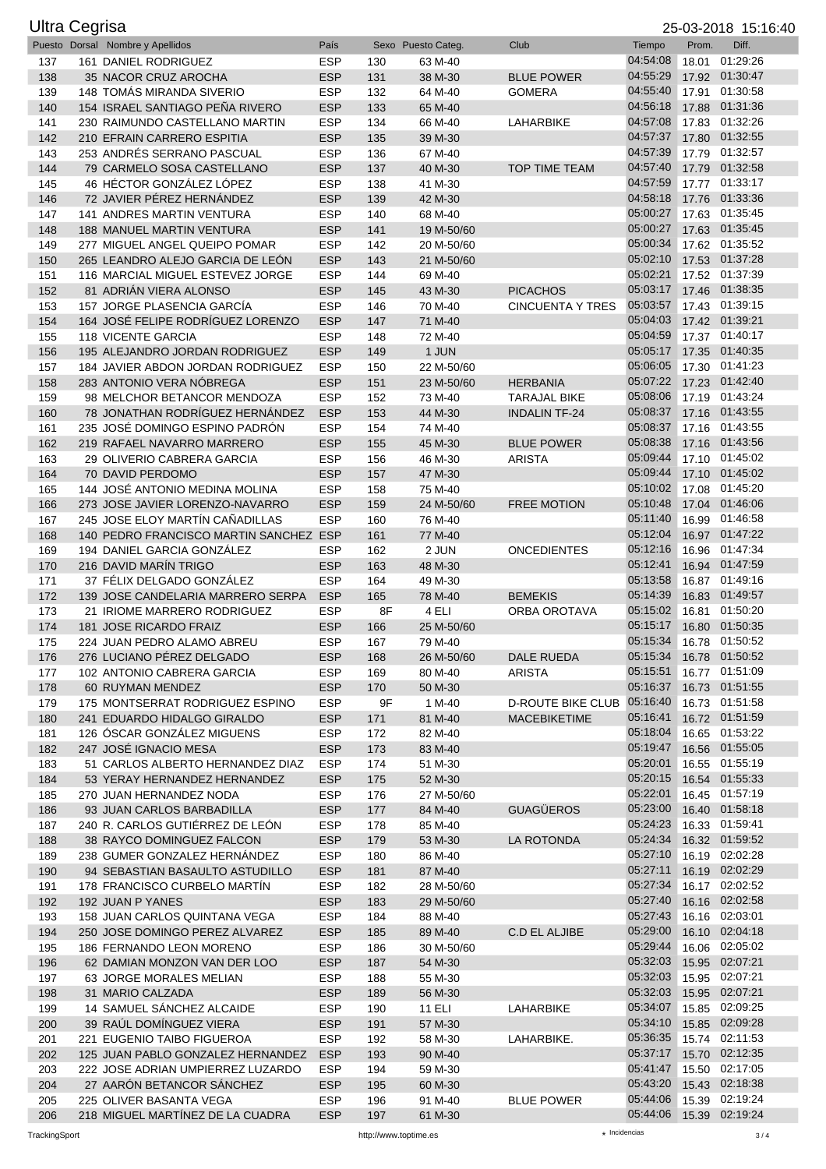| <b>Ultra Cegrisa</b> |                                                              |                          |            |                       |                             |                                                    |       | 25-03-2018 15:16:40              |
|----------------------|--------------------------------------------------------------|--------------------------|------------|-----------------------|-----------------------------|----------------------------------------------------|-------|----------------------------------|
|                      | Puesto Dorsal Nombre y Apellidos                             | País                     |            | Sexo Puesto Categ.    | Club                        | Tiempo                                             | Prom. | Diff.                            |
| 137                  | 161 DANIEL RODRIGUEZ                                         | <b>ESP</b>               | 130        | 63 M-40               |                             | 04:54:08                                           | 18.01 | 01:29:26                         |
| 138                  | 35 NACOR CRUZ AROCHA<br>148 TOMÁS MIRANDA SIVERIO            | <b>ESP</b>               | 131        | 38 M-30               | <b>BLUE POWER</b>           | 04:55:29<br>04:55:40                               |       | 17.92 01:30:47<br>01:30:58       |
| 139<br>140           | 154 ISRAEL SANTIAGO PEÑA RIVERO                              | <b>ESP</b><br><b>ESP</b> | 132<br>133 | 64 M-40<br>65 M-40    | <b>GOMERA</b>               | 04:56:18                                           | 17.91 | 17.88 01:31:36                   |
| 141                  | 230 RAIMUNDO CASTELLANO MARTIN                               | <b>ESP</b>               | 134        | 66 M-40               | LAHARBIKE                   | 04:57:08                                           |       | 17.83 01:32:26                   |
| 142                  | 210 EFRAIN CARRERO ESPITIA                                   | <b>ESP</b>               | 135        | 39 M-30               |                             | 04:57:37                                           |       | 17.80 01:32:55                   |
| 143                  | 253 ANDRÉS SERRANO PASCUAL                                   | <b>ESP</b>               | 136        | 67 M-40               |                             | 04:57:39                                           |       | 17.79 01:32:57                   |
| 144                  | 79 CARMELO SOSA CASTELLANO                                   | <b>ESP</b>               | 137        | 40 M-30               | <b>TOP TIME TEAM</b>        | 04:57:40                                           |       | 17.79 01:32:58                   |
| 145                  | 46 HÉCTOR GONZÁLEZ LÓPEZ                                     | <b>ESP</b>               | 138        | 41 M-30               |                             | 04:57:59                                           |       | 17.77 01:33:17                   |
| 146                  | 72 JAVIER PÉREZ HERNÁNDEZ                                    | <b>ESP</b>               | 139        | 42 M-30               |                             | 04:58:18                                           |       | 17.76 01:33:36                   |
| 147                  | <b>141 ANDRES MARTIN VENTURA</b>                             | <b>ESP</b>               | 140        | 68 M-40               |                             | 05:00:27                                           |       | 17.63 01:35:45                   |
| 148                  | 188 MANUEL MARTIN VENTURA                                    | <b>ESP</b>               | 141        | 19 M-50/60            |                             | 05:00:27                                           |       | 17.63 01:35:45                   |
| 149                  | 277 MIGUEL ANGEL QUEIPO POMAR                                | <b>ESP</b>               | 142        | 20 M-50/60            |                             | 05:00:34                                           |       | 17.62 01:35:52                   |
| 150                  | 265 LEANDRO ALEJO GARCIA DE LEÓN                             | <b>ESP</b>               | 143        | 21 M-50/60            |                             | 05:02:10                                           |       | 17.53 01:37:28                   |
| 151<br>152           | 116 MARCIAL MIGUEL ESTEVEZ JORGE<br>81 ADRIÁN VIERA ALONSO   | <b>ESP</b><br><b>ESP</b> | 144        | 69 M-40<br>43 M-30    | <b>PICACHOS</b>             | 05:02:21<br>05:03:17                               |       | 17.52 01:37:39<br>17.46 01:38:35 |
| 153                  | 157 JORGE PLASENCIA GARCÍA                                   | <b>ESP</b>               | 145<br>146 | 70 M-40               | <b>CINCUENTA Y TRES</b>     | 05:03:57                                           |       | 17.43 01:39:15                   |
| 154                  | 164 JOSÉ FELIPE RODRÍGUEZ LORENZO                            | <b>ESP</b>               | 147        | 71 M-40               |                             | 05:04:03                                           |       | 17.42 01:39:21                   |
| 155                  | <b>118 VICENTE GARCIA</b>                                    | <b>ESP</b>               | 148        | 72 M-40               |                             | 05:04:59                                           |       | 17.37 01:40:17                   |
| 156                  | 195 ALEJANDRO JORDAN RODRIGUEZ                               | <b>ESP</b>               | 149        | 1 JUN                 |                             | 05:05:17                                           |       | 17.35 01:40:35                   |
| 157                  | 184 JAVIER ABDON JORDAN RODRIGUEZ                            | <b>ESP</b>               | 150        | 22 M-50/60            |                             | 05:06:05                                           |       | 17.30 01:41:23                   |
| 158                  | 283 ANTONIO VERA NÓBREGA                                     | <b>ESP</b>               | 151        | 23 M-50/60            | <b>HERBANIA</b>             | 05:07:22                                           |       | 17.23 01:42:40                   |
| 159                  | 98 MELCHOR BETANCOR MENDOZA                                  | <b>ESP</b>               | 152        | 73 M-40               | <b>TARAJAL BIKE</b>         | 05:08:06                                           |       | 17.19 01:43:24                   |
| 160                  | 78 JONATHAN RODRÍGUEZ HERNÁNDEZ                              | <b>ESP</b>               | 153        | 44 M-30               | <b>INDALIN TF-24</b>        | 05:08:37                                           |       | 17.16 01:43:55                   |
| 161                  | 235 JOSÉ DOMINGO ESPINO PADRÓN                               | <b>ESP</b>               | 154        | 74 M-40               |                             | 05:08:37                                           |       | 17.16 01:43:55                   |
| 162                  | 219 RAFAEL NAVARRO MARRERO                                   | <b>ESP</b>               | 155        | 45 M-30               | <b>BLUE POWER</b>           | 05:08:38                                           |       | 17.16 01:43:56                   |
| 163                  | 29 OLIVERIO CABRERA GARCIA                                   | <b>ESP</b>               | 156        | 46 M-30               | <b>ARISTA</b>               | 05:09:44<br>05:09:44                               |       | 17.10 01:45:02<br>17.10 01:45:02 |
| 164<br>165           | 70 DAVID PERDOMO<br>144 JOSÉ ANTONIO MEDINA MOLINA           | <b>ESP</b><br><b>ESP</b> | 157<br>158 | 47 M-30<br>75 M-40    |                             | 05:10:02                                           |       | 17.08 01:45:20                   |
| 166                  | 273 JOSE JAVIER LORENZO-NAVARRO                              | <b>ESP</b>               | 159        | 24 M-50/60            | <b>FREE MOTION</b>          | 05:10:48                                           |       | 17.04 01:46:06                   |
| 167                  | 245 JOSE ELOY MARTÍN CAÑADILLAS                              | <b>ESP</b>               | 160        | 76 M-40               |                             | 05:11:40                                           |       | 16.99 01:46:58                   |
| 168                  | 140 PEDRO FRANCISCO MARTIN SANCHEZ ESP                       |                          | 161        | 77 M-40               |                             | 05:12:04                                           |       | 16.97 01:47:22                   |
| 169                  | 194 DANIEL GARCIA GONZÁLEZ                                   | <b>ESP</b>               | 162        | 2 JUN                 | <b>ONCEDIENTES</b>          | 05:12:16                                           |       | 16.96 01:47:34                   |
| 170                  | 216 DAVID MARÍN TRIGO                                        | <b>ESP</b>               | 163        | 48 M-30               |                             | 05:12:41                                           |       | 16.94 01:47:59                   |
| 171                  | 37 FÉLIX DELGADO GONZÁLEZ                                    | <b>ESP</b>               | 164        | 49 M-30               |                             | 05:13:58                                           |       | 16.87 01:49:16                   |
| 172                  | 139 JOSE CANDELARIA MARRERO SERPA                            | <b>ESP</b>               | 165        | 78 M-40               | <b>BEMEKIS</b>              | 05:14:39                                           |       | 16.83 01:49:57                   |
| 173                  | 21 IRIOME MARRERO RODRIGUEZ                                  | <b>ESP</b>               | 8F         | 4 ELI                 | <b>ORBA OROTAVA</b>         | 05:15:02                                           |       | 16.81 01:50:20                   |
| 174                  | 181 JOSE RICARDO FRAIZ                                       | <b>ESP</b>               | 166        | 25 M-50/60            |                             | 05:15:17                                           |       | 16.80 01:50:35                   |
| 175                  | 224 JUAN PEDRO ALAMO ABREU<br>276 LUCIANO PÉREZ DELGADO      | <b>ESP</b>               | 167        | 79 M-40               |                             | 05:15:34 16.78 01:50:52<br>05:15:34 16.78 01:50:52 |       |                                  |
| 176<br>177           | 102 ANTONIO CABRERA GARCIA                                   | <b>ESP</b><br><b>ESP</b> | 168<br>169 | 26 M-50/60<br>80 M-40 | DALE RUEDA<br><b>ARISTA</b> | 05:15:51                                           |       | 16.77 01:51:09                   |
| 178                  | 60 RUYMAN MENDEZ                                             | <b>ESP</b>               | 170        | 50 M-30               |                             | 05:16:37                                           |       | 16.73 01:51:55                   |
| 179                  | 175 MONTSERRAT RODRIGUEZ ESPINO                              | <b>ESP</b>               | 9F         | 1 M-40                | D-ROUTE BIKE CLUB 05:16:40  |                                                    |       | 16.73 01:51:58                   |
| 180                  | 241 EDUARDO HIDALGO GIRALDO                                  | <b>ESP</b>               | 171        | 81 M-40               | <b>MACEBIKETIME</b>         | 05:16:41                                           |       | 16.72 01:51:59                   |
| 181                  | 126 ÓSCAR GONZÁLEZ MIGUENS                                   | <b>ESP</b>               | 172        | 82 M-40               |                             | 05:18:04                                           |       | 16.65 01:53:22                   |
| 182                  | 247 JOSÉ IGNACIO MESA                                        | <b>ESP</b>               | 173        | 83 M-40               |                             | 05:19:47                                           |       | 16.56 01:55:05                   |
| 183                  | 51 CARLOS ALBERTO HERNANDEZ DIAZ                             | <b>ESP</b>               | 174        | 51 M-30               |                             | 05:20:01                                           |       | 16.55 01:55:19                   |
| 184                  | 53 YERAY HERNANDEZ HERNANDEZ                                 | <b>ESP</b>               | 175        | 52 M-30               |                             | 05:20:15                                           |       | 16.54 01:55:33                   |
| 185                  | 270 JUAN HERNANDEZ NODA                                      | <b>ESP</b>               | 176        | 27 M-50/60            |                             | 05:22:01<br>05:23:00                               |       | 16.45 01:57:19                   |
| 186<br>187           | 93 JUAN CARLOS BARBADILLA<br>240 R. CARLOS GUTIÉRREZ DE LEÓN | <b>ESP</b><br><b>ESP</b> | 177        | 84 M-40<br>85 M-40    | <b>GUAGÜEROS</b>            | 05:24:23                                           |       | 16.40 01:58:18<br>16.33 01:59:41 |
| 188                  | 38 RAYCO DOMINGUEZ FALCON                                    | <b>ESP</b>               | 178<br>179 | 53 M-30               | LA ROTONDA                  | 05:24:34                                           |       | 16.32 01:59:52                   |
| 189                  | 238 GUMER GONZALEZ HERNANDEZ                                 | <b>ESP</b>               | 180        | 86 M-40               |                             | 05:27:10                                           |       | 16.19 02:02:28                   |
| 190                  | 94 SEBASTIAN BASAULTO ASTUDILLO                              | <b>ESP</b>               | 181        | 87 M-40               |                             | 05:27:11                                           |       | 16.19 02:02:29                   |
| 191                  | 178 FRANCISCO CURBELO MARTIN                                 | <b>ESP</b>               | 182        | 28 M-50/60            |                             | 05:27:34                                           |       | 16.17 02:02:52                   |
| 192                  | 192 JUAN P YANES                                             | <b>ESP</b>               | 183        | 29 M-50/60            |                             | 05:27:40                                           |       | 16.16 02:02:58                   |
| 193                  | 158 JUAN CARLOS QUINTANA VEGA                                | <b>ESP</b>               | 184        | 88 M-40               |                             | 05:27:43                                           |       | 16.16 02:03:01                   |
| 194                  | 250 JOSE DOMINGO PEREZ ALVAREZ                               | <b>ESP</b>               | 185        | 89 M-40               | C.D EL ALJIBE               | 05:29:00                                           |       | 16.10 02:04:18                   |
| 195                  | 186 FERNANDO LEON MORENO                                     | <b>ESP</b>               | 186        | 30 M-50/60            |                             | 05:29:44                                           |       | 16.06 02:05:02                   |
| 196                  | 62 DAMIAN MONZON VAN DER LOO                                 | <b>ESP</b>               | 187        | 54 M-30               |                             | 05:32:03<br>05:32:03                               |       | 15.95 02:07:21                   |
| 197                  | 63 JORGE MORALES MELIAN                                      | <b>ESP</b><br><b>ESP</b> | 188        | 55 M-30               |                             | 05:32:03                                           |       | 15.95 02:07:21<br>15.95 02:07:21 |
| 198<br>199           | 31 MARIO CALZADA<br>14 SAMUEL SÁNCHEZ ALCAIDE                | <b>ESP</b>               | 189<br>190 | 56 M-30<br>11 ELI     | LAHARBIKE                   | 05:34:07                                           |       | 15.85 02:09:25                   |
| 200                  | 39 RAUL DOMINGUEZ VIERA                                      | <b>ESP</b>               | 191        | 57 M-30               |                             | 05:34:10                                           |       | 15.85 02:09:28                   |
| 201                  | 221 EUGENIO TAIBO FIGUEROA                                   | <b>ESP</b>               | 192        | 58 M-30               | LAHARBIKE.                  | 05:36:35                                           |       | 15.74 02:11:53                   |
| 202                  | 125 JUAN PABLO GONZALEZ HERNANDEZ                            | <b>ESP</b>               | 193        | 90 M-40               |                             | 05:37:17                                           |       | 15.70 02:12:35                   |
| 203                  | 222 JOSE ADRIAN UMPIERREZ LUZARDO                            | <b>ESP</b>               | 194        | 59 M-30               |                             | 05:41:47                                           |       | 15.50 02:17:05                   |
| 204                  | 27 AARÓN BETANCOR SÁNCHEZ                                    | <b>ESP</b>               | 195        | 60 M-30               |                             | 05:43:20                                           |       | 15.43 02:18:38                   |
| 205                  | 225 OLIVER BASANTA VEGA                                      | <b>ESP</b>               | 196        | 91 M-40               | <b>BLUE POWER</b>           | 05:44:06                                           |       | 15.39 02:19:24                   |
| 206                  | 218 MIGUEL MARTINEZ DE LA CUADRA                             | <b>ESP</b>               | 197        | 61 M-30               |                             | 05:44:06 15.39 02:19:24                            |       |                                  |